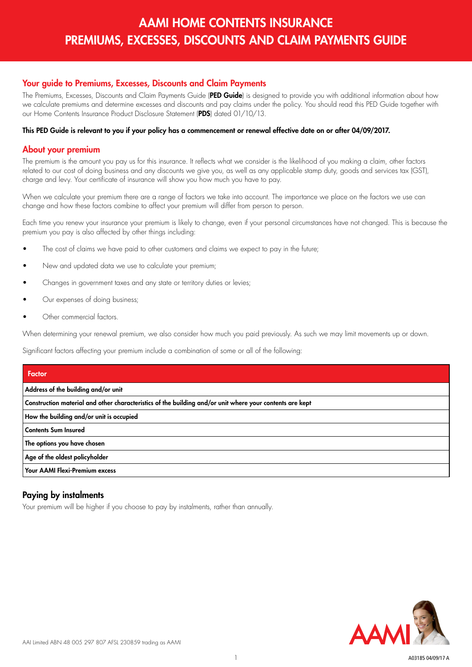## Your guide to Premiums, Excesses, Discounts and Claim Payments

The Premiums, Excesses, Discounts and Claim Payments Guide (PED Guide) is desianed to provide you with additional information about how we calculate premiums and determine excesses and discounts and pay claims under the policy. You should read this PED Guide together with our Home Contents Insurance Product Disclosure Statement (PDS) dated 01/10/13.

#### This PED Guide is relevant to you if your policy has a commencement or renewal effective date on or after 04/09/2017.

#### About your premium

The premium is the amount you pay us for this insurance. It reflects what we consider is the likelihood of you making a claim, other factors related to our cost of doing business and any discounts we give you, as well as any applicable stamp duty, goods and services tax (GST), charge and levy. Your certificate of insurance will show you how much you have to pay.

When we calculate your premium there are a range of factors we take into account. The importance we place on the factors we use can change and how these factors combine to affect your premium will differ from person to person.

Each time you renew your insurance your premium is likely to change, even if your personal circumstances have not changed. This is because the premium you pay is also affected by other things including:

- The cost of claims we have paid to other customers and claims we expect to pay in the future;
- New and updated data we use to calculate your premium;
- Changes in government taxes and any state or territory duties or levies;
- Our expenses of doing business;
- Other commercial factors.

When determining your renewal premium, we also consider how much you paid previously. As such we may limit movements up or down.

Significant factors affecting your premium include a combination of some or all of the following:

| Factor                                                                                                   |
|----------------------------------------------------------------------------------------------------------|
| Address of the building and/or unit                                                                      |
| Construction material and other characteristics of the building and/or unit where your contents are kept |
| How the building and/or unit is occupied                                                                 |
| Contents Sum Insured                                                                                     |
| The options you have chosen                                                                              |
| Age of the oldest policyholder                                                                           |
| Your AAMI Flexi-Premium excess                                                                           |

### Paying by instalments

Your premium will be higher if you choose to pay by instalments, rather than annually.

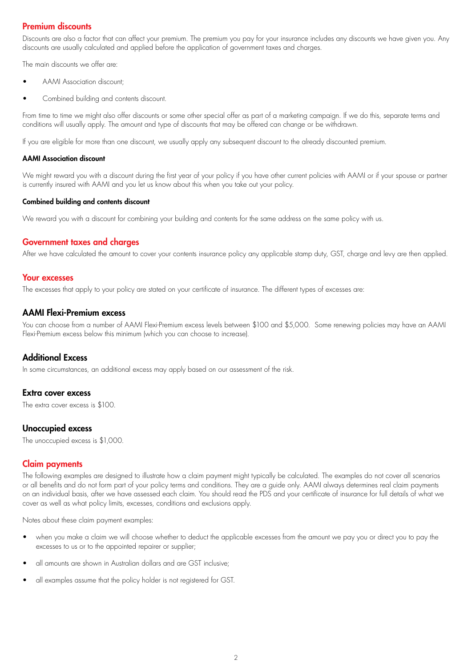## Premium discounts

Discounts are also a factor that can affect your premium. The premium you pay for your insurance includes any discounts we have given you. Any discounts are usually calculated and applied before the application of government taxes and charges.

The main discounts we offer are:

- AAMI Association discount;
- Combined building and contents discount.

From time to time we might also offer discounts or some other special offer as part of a marketing campaign. If we do this, separate terms and conditions will usually apply. The amount and type of discounts that may be offered can change or be withdrawn.

If you are eligible for more than one discount, we usually apply any subsequent discount to the already discounted premium.

#### AAMI Association discount

We might reward you with a discount during the first year of your policy if you have other current policies with AAMI or if your spouse or partner is currently insured with AAMI and you let us know about this when you take out your policy.

#### Combined building and contents discount

We reward you with a discount for combining your building and contents for the same address on the same policy with us.

### Government taxes and charges

After we have calculated the amount to cover your contents insurance policy any applicable stamp duty, GST, charge and levy are then applied.

#### Your excesses

The excesses that apply to your policy are stated on your certificate of insurance. The different types of excesses are:

#### AAMI Flexi-Premium excess

You can choose from a number of AAMI Flexi-Premium excess levels between \$100 and \$5,000. Some renewing policies may have an AAMI Flexi-Premium excess below this minimum (which you can choose to increase).

### Additional Excess

In some circumstances, an additional excess may apply based on our assessment of the risk.

#### Extra cover excess

The extra cover excess is \$100.

### Unoccupied excess

The unoccupied excess is \$1,000.

### Claim payments

The following examples are designed to illustrate how a claim payment might typically be calculated. The examples do not cover all scenarios or all benefits and do not form part of your policy terms and conditions. They are a guide only. AAMI always determines real claim payments on an individual basis, after we have assessed each claim. You should read the PDS and your certificate of insurance for full details of what we cover as well as what policy limits, excesses, conditions and exclusions apply.

Notes about these claim payment examples:

- when you make a claim we will choose whether to deduct the applicable excesses from the amount we pay you or direct you to pay the excesses to us or to the appointed repairer or supplier;
- all amounts are shown in Australian dollars and are GST inclusive;
- all examples assume that the policy holder is not registered for GST.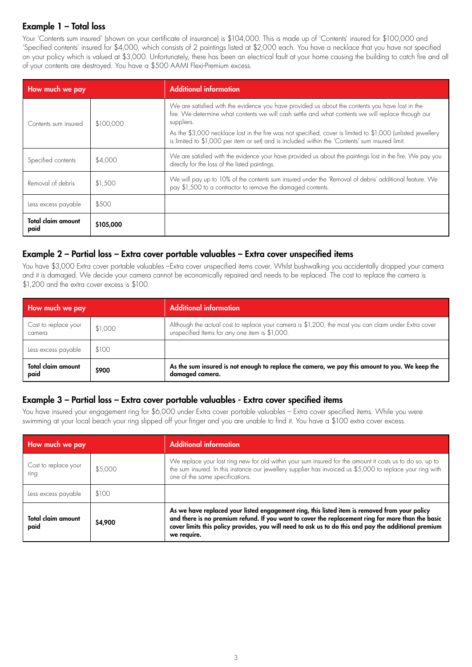## Example 1 – Total loss

Your 'Contents sum insured' (shown on your certificate of insurance) is \$104,000. This is made up of 'Contents' insured for \$100,000 and 'Specified contents' insured for \$4,000, which consists of 2 paintings listed at \$2,000 each. You have a necklace that you have not specified on your policy which is valued at \$3,000. Unfortunately, there has been an electrical fault at your home causing the building to catch fire and all of your contents are destroyed. You have a \$500 AAMI Flexi-Premium excess.

| How much we pay                   |           | <b>Additional information</b>                                                                                                                                                                                                                                                                                                                                                                                                         |
|-----------------------------------|-----------|---------------------------------------------------------------------------------------------------------------------------------------------------------------------------------------------------------------------------------------------------------------------------------------------------------------------------------------------------------------------------------------------------------------------------------------|
| Contents sum insured              | \$100,000 | We are satisfied with the evidence you have provided us about the contents you have lost in the<br>fire. We determine what contents we will cash settle and what contents we will replace through our<br>suppliers.<br>As the \$3,000 necklace lost in the fire was not specified, cover is limited to \$1,000 (unlisted jewellery<br>is limited to \$1,000 per item or set) and is included within the 'Contents' sum insured limit. |
| Specified contents                | \$4,000   | We are satisfied with the evidence your have provided us about the paintings lost in the fire. We pay you<br>directly for the loss of the listed paintings.                                                                                                                                                                                                                                                                           |
| Removal of debris                 | \$1,500   | We will pay up to 10% of the contents sum insured under the 'Removal of debris' additional feature. We<br>pay \$1,500 to a contractor to remove the damaged contents.                                                                                                                                                                                                                                                                 |
| Less excess payable               | \$500     |                                                                                                                                                                                                                                                                                                                                                                                                                                       |
| <b>Total claim amount</b><br>paid | \$105,000 |                                                                                                                                                                                                                                                                                                                                                                                                                                       |

## Example 2 – Partial loss – Extra cover portable valuables – Extra cover unspecified items

You have \$3,000 Extra cover portable valuables –Extra cover unspecified items cover. Whilst bushwalking you accidentally dropped your camera and it is damaged. We decide your camera cannot be economically repaired and needs to be replaced. The cost to replace the camera is \$1,200 and the extra cover excess is \$100.

| How much we pay                |         | <b>Additional information</b>                                                                                                                          |
|--------------------------------|---------|--------------------------------------------------------------------------------------------------------------------------------------------------------|
| Cost to replace your<br>camera | \$1,000 | Although the actual cost to replace your camera is \$1,200, the most you can claim under Extra cover<br>unspecified Items for any one item is \$1,000. |
| Less excess payable            | \$100   |                                                                                                                                                        |
| Total claim amount<br>paid     | \$900   | As the sum insured is not enough to replace the camera, we pay this amount to you. We keep the<br>damaged camera.                                      |

## Example 3 – Partial loss – Extra cover portable valuables - Extra cover specified items

You have insured your engagement ring for \$6,000 under Extra cover portable valuables – Extra cover specified items. While you were swimming at your local beach your ring slipped off your finger and you are unable to find it. You have a \$100 extra cover excess.

| How much we pay                   |         | <b>Additional information</b>                                                                                                                                                                                                                                                                                             |
|-----------------------------------|---------|---------------------------------------------------------------------------------------------------------------------------------------------------------------------------------------------------------------------------------------------------------------------------------------------------------------------------|
| Cost to replace your<br>ring      | \$5,000 | We replace your lost ring new for old within your sum insured for the amount it costs us to do so, up to<br>the sum insured. In this instance our jewellery supplier has invoiced us \$5,000 to replace your ring with<br>one of the same specifications.                                                                 |
| Less excess payable               | \$100   |                                                                                                                                                                                                                                                                                                                           |
| <b>Total claim amount</b><br>paid | \$4,900 | As we have replaced your listed engagement ring, this listed item is removed from your policy<br>and there is no premium refund. If you want to cover the replacement ring for more than the basic<br>cover limits this policy provides, you will need to ask us to do this and pay the additional premium<br>we require. |